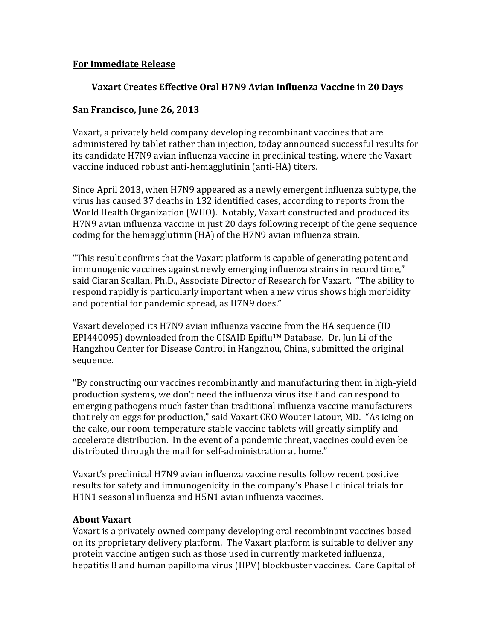## **For Immediate Release**

## Vaxart Creates Effective Oral H7N9 Avian Influenza Vaccine in 20 Days

## San Francisco, June 26, 2013

Vaxart, a privately held company developing recombinant vaccines that are administered by tablet rather than injection, today announced successful results for its candidate H7N9 avian influenza vaccine in preclinical testing, where the Vaxart vaccine induced robust anti-hemagglutinin (anti-HA) titers.

Since April 2013, when H7N9 appeared as a newly emergent influenza subtype, the virus has caused 37 deaths in 132 identified cases, according to reports from the World Health Organization (WHO). Notably, Vaxart constructed and produced its H7N9 avian influenza vaccine in just 20 days following receipt of the gene sequence coding for the hemagglutinin (HA) of the H7N9 avian influenza strain.

"This result confirms that the Vaxart platform is capable of generating potent and immunogenic vaccines against newly emerging influenza strains in record time," said Ciaran Scallan, Ph.D., Associate Director of Research for Vaxart. "The ability to respond rapidly is particularly important when a new virus shows high morbidity and potential for pandemic spread, as H7N9 does."

Vaxart developed its H7N9 avian influenza vaccine from the HA sequence (ID EPI440095) downloaded from the GISAID Epiflu™ Database. Dr. Jun Li of the Hangzhou Center for Disease Control in Hangzhou, China, submitted the original sequence.

"By constructing our vaccines recombinantly and manufacturing them in high-yield production systems, we don't need the influenza virus itself and can respond to emerging pathogens much faster than traditional influenza vaccine manufacturers that rely on eggs for production," said Vaxart CEO Wouter Latour, MD. "As icing on the cake, our room-temperature stable vaccine tablets will greatly simplify and accelerate distribution. In the event of a pandemic threat, vaccines could even be distributed through the mail for self-administration at home."

Vaxart's preclinical H7N9 avian influenza vaccine results follow recent positive results for safety and immunogenicity in the company's Phase I clinical trials for H1N1 seasonal influenza and H5N1 avian influenza vaccines.

## **About Vaxart**

Vaxart is a privately owned company developing oral recombinant vaccines based on its proprietary delivery platform. The Vaxart platform is suitable to deliver any protein vaccine antigen such as those used in currently marketed influenza, hepatitis B and human papilloma virus (HPV) blockbuster vaccines. Care Capital of